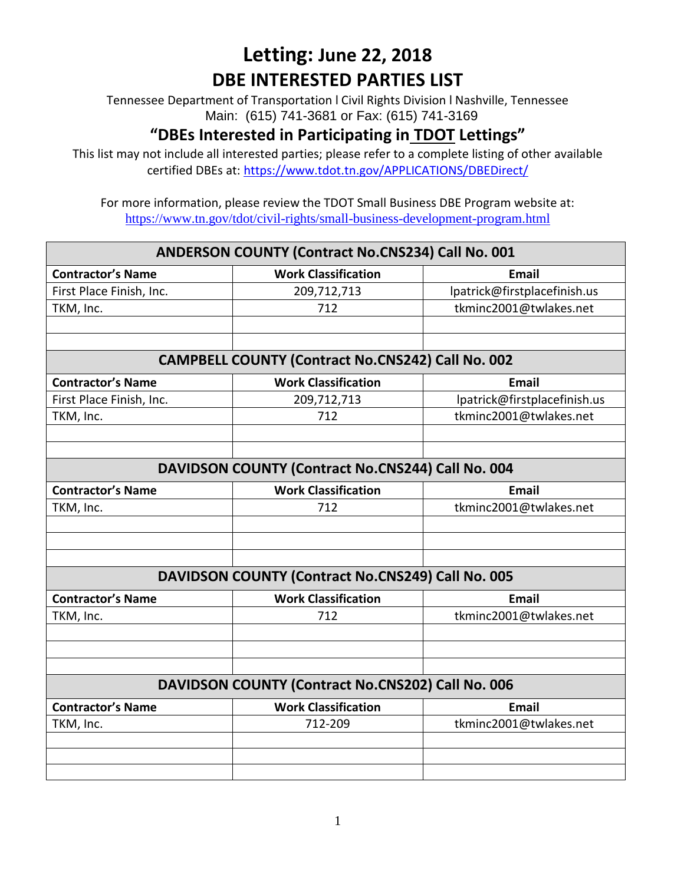Tennessee Department of Transportation l Civil Rights Division l Nashville, Tennessee Main: (615) 741-3681 or Fax: (615) 741-3169

### **"DBEs Interested in Participating in TDOT Lettings"**

This list may not include all interested parties; please refer to a complete listing of other available certified DBEs at:<https://www.tdot.tn.gov/APPLICATIONS/DBEDirect/>

| <b>ANDERSON COUNTY (Contract No.CNS234) Call No. 001</b> |                                                   |                              |
|----------------------------------------------------------|---------------------------------------------------|------------------------------|
| <b>Contractor's Name</b>                                 | <b>Work Classification</b>                        | <b>Email</b>                 |
| First Place Finish, Inc.                                 | 209,712,713                                       | lpatrick@firstplacefinish.us |
| TKM, Inc.                                                | 712                                               | tkminc2001@twlakes.net       |
|                                                          |                                                   |                              |
|                                                          |                                                   |                              |
| <b>CAMPBELL COUNTY (Contract No.CNS242) Call No. 002</b> |                                                   |                              |
| <b>Contractor's Name</b>                                 | <b>Work Classification</b>                        | <b>Email</b>                 |
| First Place Finish, Inc.                                 | 209,712,713                                       | lpatrick@firstplacefinish.us |
| TKM, Inc.                                                | 712                                               | tkminc2001@twlakes.net       |
|                                                          |                                                   |                              |
|                                                          |                                                   |                              |
| DAVIDSON COUNTY (Contract No.CNS244) Call No. 004        |                                                   |                              |
| <b>Contractor's Name</b>                                 | <b>Work Classification</b>                        | <b>Email</b>                 |
| TKM, Inc.                                                | 712                                               | tkminc2001@twlakes.net       |
|                                                          |                                                   |                              |
|                                                          |                                                   |                              |
|                                                          |                                                   |                              |
| DAVIDSON COUNTY (Contract No.CNS249) Call No. 005        |                                                   |                              |
| <b>Contractor's Name</b>                                 | <b>Work Classification</b>                        | Email                        |
| TKM, Inc.                                                | 712                                               | tkminc2001@twlakes.net       |
|                                                          |                                                   |                              |
|                                                          |                                                   |                              |
|                                                          |                                                   |                              |
|                                                          | DAVIDSON COUNTY (Contract No.CNS202) Call No. 006 |                              |
| <b>Contractor's Name</b>                                 | <b>Work Classification</b>                        | <b>Email</b>                 |
| TKM, Inc.                                                | 712-209                                           | tkminc2001@twlakes.net       |
|                                                          |                                                   |                              |
|                                                          |                                                   |                              |
|                                                          |                                                   |                              |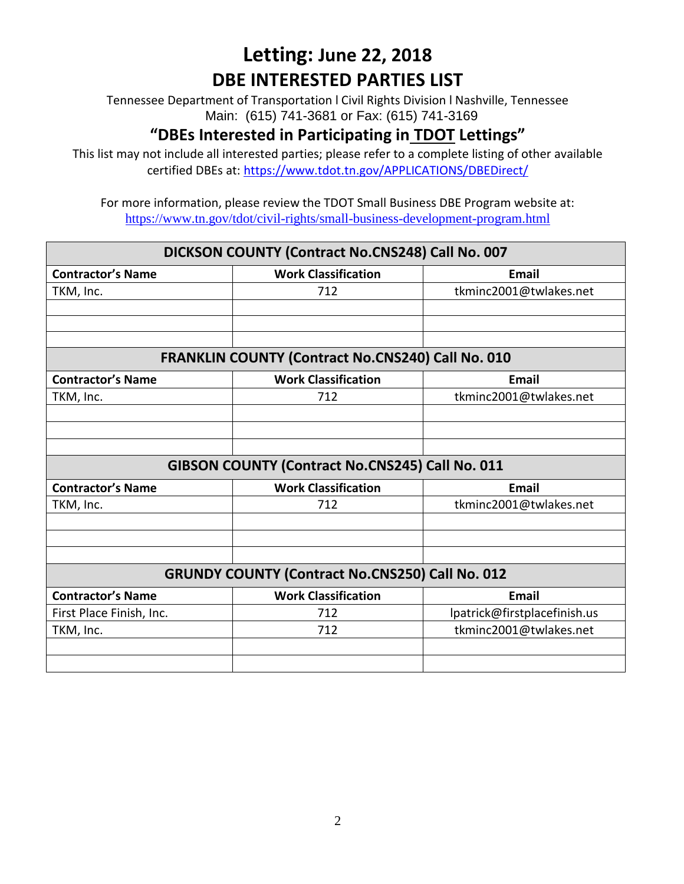Tennessee Department of Transportation l Civil Rights Division l Nashville, Tennessee Main: (615) 741-3681 or Fax: (615) 741-3169

### **"DBEs Interested in Participating in TDOT Lettings"**

This list may not include all interested parties; please refer to a complete listing of other available certified DBEs at:<https://www.tdot.tn.gov/APPLICATIONS/DBEDirect/>

| DICKSON COUNTY (Contract No.CNS248) Call No. 007 |                                                          |                              |
|--------------------------------------------------|----------------------------------------------------------|------------------------------|
| <b>Contractor's Name</b>                         | <b>Work Classification</b>                               | <b>Email</b>                 |
| TKM, Inc.                                        | 712                                                      | tkminc2001@twlakes.net       |
|                                                  |                                                          |                              |
|                                                  |                                                          |                              |
|                                                  |                                                          |                              |
|                                                  | <b>FRANKLIN COUNTY (Contract No.CNS240) Call No. 010</b> |                              |
| <b>Contractor's Name</b>                         | <b>Work Classification</b>                               | <b>Email</b>                 |
| TKM, Inc.                                        | 712                                                      | tkminc2001@twlakes.net       |
|                                                  |                                                          |                              |
|                                                  |                                                          |                              |
|                                                  |                                                          |                              |
| GIBSON COUNTY (Contract No.CNS245) Call No. 011  |                                                          |                              |
| <b>Contractor's Name</b>                         | <b>Work Classification</b>                               | <b>Email</b>                 |
| TKM, Inc.                                        | 712                                                      | tkminc2001@twlakes.net       |
|                                                  |                                                          |                              |
|                                                  |                                                          |                              |
|                                                  |                                                          |                              |
|                                                  | <b>GRUNDY COUNTY (Contract No.CNS250) Call No. 012</b>   |                              |
| <b>Contractor's Name</b>                         | <b>Work Classification</b>                               | Email                        |
| First Place Finish, Inc.                         | 712                                                      | lpatrick@firstplacefinish.us |
| TKM, Inc.                                        | 712                                                      | tkminc2001@twlakes.net       |
|                                                  |                                                          |                              |
|                                                  |                                                          |                              |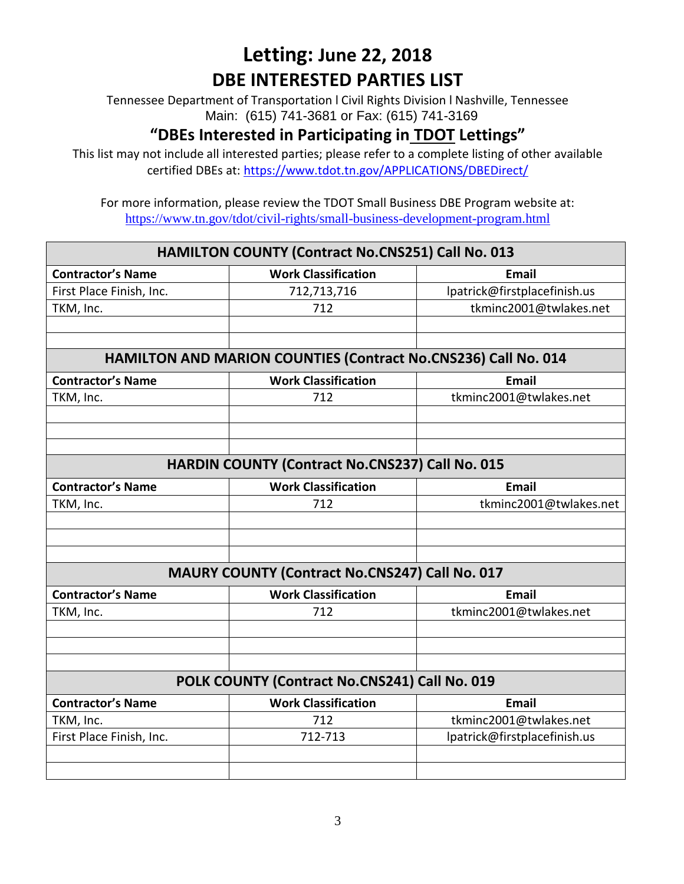Tennessee Department of Transportation l Civil Rights Division l Nashville, Tennessee Main: (615) 741-3681 or Fax: (615) 741-3169

### **"DBEs Interested in Participating in TDOT Lettings"**

This list may not include all interested parties; please refer to a complete listing of other available certified DBEs at:<https://www.tdot.tn.gov/APPLICATIONS/DBEDirect/>

| <b>HAMILTON COUNTY (Contract No.CNS251) Call No. 013</b>              |                                                |                              |
|-----------------------------------------------------------------------|------------------------------------------------|------------------------------|
| <b>Contractor's Name</b>                                              | <b>Work Classification</b>                     | <b>Email</b>                 |
| First Place Finish, Inc.                                              | 712,713,716                                    | lpatrick@firstplacefinish.us |
| TKM, Inc.                                                             | 712                                            | tkminc2001@twlakes.net       |
|                                                                       |                                                |                              |
|                                                                       |                                                |                              |
| <b>HAMILTON AND MARION COUNTIES (Contract No.CNS236) Call No. 014</b> |                                                |                              |
| <b>Contractor's Name</b>                                              | <b>Work Classification</b>                     | <b>Email</b>                 |
| TKM, Inc.                                                             | 712                                            | tkminc2001@twlakes.net       |
|                                                                       |                                                |                              |
|                                                                       |                                                |                              |
|                                                                       |                                                |                              |
| <b>HARDIN COUNTY (Contract No.CNS237) Call No. 015</b>                |                                                |                              |
| <b>Contractor's Name</b>                                              | <b>Work Classification</b>                     | <b>Email</b>                 |
| TKM, Inc.                                                             | 712                                            | tkminc2001@twlakes.net       |
|                                                                       |                                                |                              |
|                                                                       |                                                |                              |
|                                                                       |                                                |                              |
|                                                                       | MAURY COUNTY (Contract No.CNS247) Call No. 017 |                              |
| <b>Contractor's Name</b>                                              | <b>Work Classification</b>                     | <b>Email</b>                 |
| TKM, Inc.                                                             | 712                                            | tkminc2001@twlakes.net       |
|                                                                       |                                                |                              |
|                                                                       |                                                |                              |
|                                                                       |                                                |                              |
|                                                                       | POLK COUNTY (Contract No.CNS241) Call No. 019  |                              |
| <b>Contractor's Name</b>                                              | <b>Work Classification</b>                     | <b>Email</b>                 |
| TKM, Inc.                                                             | 712                                            | tkminc2001@twlakes.net       |
| First Place Finish, Inc.                                              | 712-713                                        | lpatrick@firstplacefinish.us |
|                                                                       |                                                |                              |
|                                                                       |                                                |                              |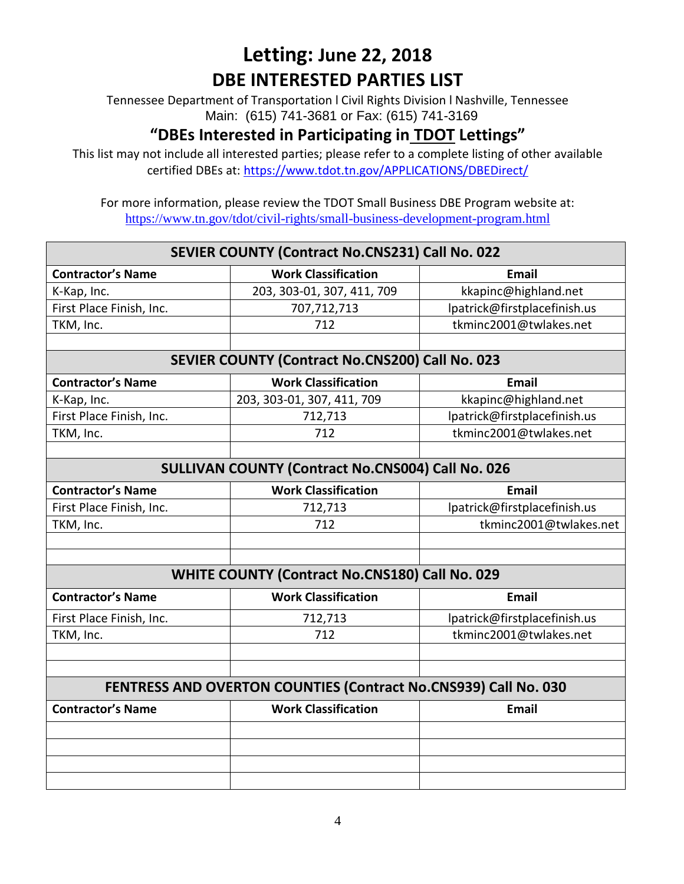Tennessee Department of Transportation l Civil Rights Division l Nashville, Tennessee Main: (615) 741-3681 or Fax: (615) 741-3169

### **"DBEs Interested in Participating in TDOT Lettings"**

This list may not include all interested parties; please refer to a complete listing of other available certified DBEs at:<https://www.tdot.tn.gov/APPLICATIONS/DBEDirect/>

| SEVIER COUNTY (Contract No.CNS231) Call No. 022          |                                                                 |                              |
|----------------------------------------------------------|-----------------------------------------------------------------|------------------------------|
| <b>Contractor's Name</b>                                 | <b>Work Classification</b>                                      | <b>Email</b>                 |
| K-Kap, Inc.                                              | 203, 303-01, 307, 411, 709                                      | kkapinc@highland.net         |
| First Place Finish, Inc.                                 | 707,712,713                                                     | lpatrick@firstplacefinish.us |
| TKM, Inc.                                                | 712                                                             | tkminc2001@twlakes.net       |
|                                                          |                                                                 |                              |
| <b>SEVIER COUNTY (Contract No.CNS200) Call No. 023</b>   |                                                                 |                              |
| <b>Contractor's Name</b>                                 | <b>Work Classification</b>                                      | <b>Email</b>                 |
| K-Kap, Inc.                                              | 203, 303-01, 307, 411, 709                                      | kkapinc@highland.net         |
| First Place Finish, Inc.                                 | 712,713                                                         | lpatrick@firstplacefinish.us |
| TKM, Inc.                                                | 712                                                             | tkminc2001@twlakes.net       |
|                                                          |                                                                 |                              |
| <b>SULLIVAN COUNTY (Contract No.CNS004) Call No. 026</b> |                                                                 |                              |
| <b>Contractor's Name</b>                                 | <b>Work Classification</b>                                      | <b>Email</b>                 |
| First Place Finish, Inc.                                 | 712,713                                                         | lpatrick@firstplacefinish.us |
| TKM, Inc.                                                | 712                                                             | tkminc2001@twlakes.net       |
|                                                          |                                                                 |                              |
|                                                          |                                                                 |                              |
|                                                          | WHITE COUNTY (Contract No.CNS180) Call No. 029                  |                              |
| <b>Contractor's Name</b>                                 | <b>Work Classification</b>                                      | <b>Email</b>                 |
| First Place Finish, Inc.                                 | 712,713                                                         | lpatrick@firstplacefinish.us |
| TKM, Inc.                                                | 712                                                             | tkminc2001@twlakes.net       |
|                                                          |                                                                 |                              |
|                                                          |                                                                 |                              |
|                                                          | FENTRESS AND OVERTON COUNTIES (Contract No.CNS939) Call No. 030 |                              |
| <b>Contractor's Name</b>                                 | <b>Work Classification</b>                                      | <b>Email</b>                 |
|                                                          |                                                                 |                              |
|                                                          |                                                                 |                              |
|                                                          |                                                                 |                              |
|                                                          |                                                                 |                              |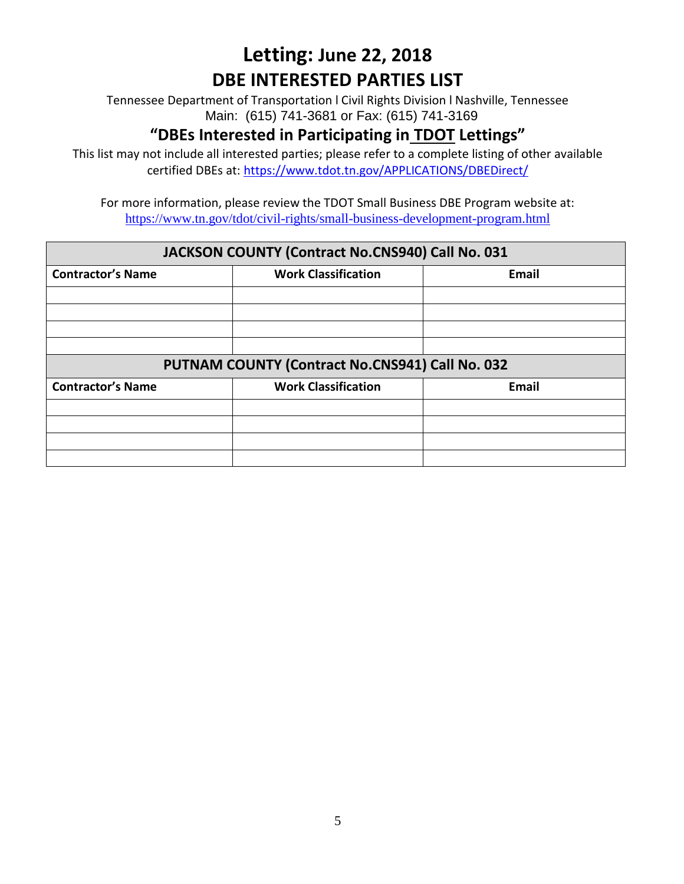Tennessee Department of Transportation l Civil Rights Division l Nashville, Tennessee Main: (615) 741-3681 or Fax: (615) 741-3169

### **"DBEs Interested in Participating in TDOT Lettings"**

This list may not include all interested parties; please refer to a complete listing of other available certified DBEs at:<https://www.tdot.tn.gov/APPLICATIONS/DBEDirect/>

For more information, please review the TDOT Small Business DBE Program website at: <https://www.tn.gov/tdot/civil-rights/small-business-development-program.html>

#### **JACKSON COUNTY (Contract No.CNS940) Call No. 031**

| <b>Contractor's Name</b>                        | <b>Work Classification</b> | <b>Email</b> |
|-------------------------------------------------|----------------------------|--------------|
|                                                 |                            |              |
|                                                 |                            |              |
|                                                 |                            |              |
|                                                 |                            |              |
| PUTNAM COUNTY (Contract No.CNS941) Call No. 032 |                            |              |
| <b>Contractor's Name</b>                        | <b>Work Classification</b> | Email        |
|                                                 |                            |              |
|                                                 |                            |              |
|                                                 |                            |              |
|                                                 |                            |              |